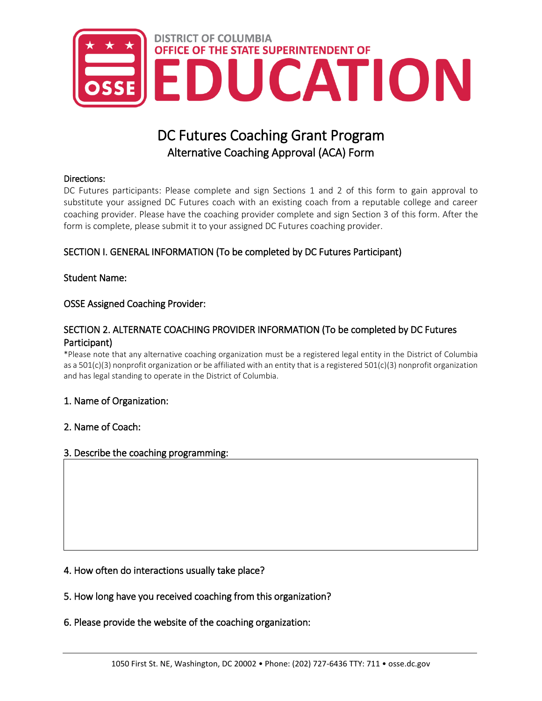

# DC Futures Coaching Grant Program Alternative Coaching Approval (ACA) Form

#### Directions:

DC Futures participants: Please complete and sign Sections 1 and 2 of this form to gain approval to substitute your assigned DC Futures coach with an existing coach from a reputable college and career coaching provider. Please have the coaching provider complete and sign Section 3 of this form. After the form is complete, please submit it to your assigned DC Futures coaching provider.

## SECTION I. GENERAL INFORMATION (To be completed by DC Futures Participant)

## Student Name:

## OSSE Assigned Coaching Provider:

## SECTION 2. ALTERNATE COACHING PROVIDER INFORMATION (To be completed by DC Futures Participant)

\*Please note that any alternative coaching organization must be a registered legal entity in the District of Columbia as a 501(c)(3) nonprofit organization or be affiliated with an entity that is a registered 501(c)(3) nonprofit organization and has legal standing to operate in the District of Columbia.

### 1. Name of Organization:

### 2. Name of Coach:

### 3. Describe the coaching programming:

### 4. How often do interactions usually take place?

### 5. How long have you received coaching from this organization?

### 6. Please provide the website of the coaching organization: